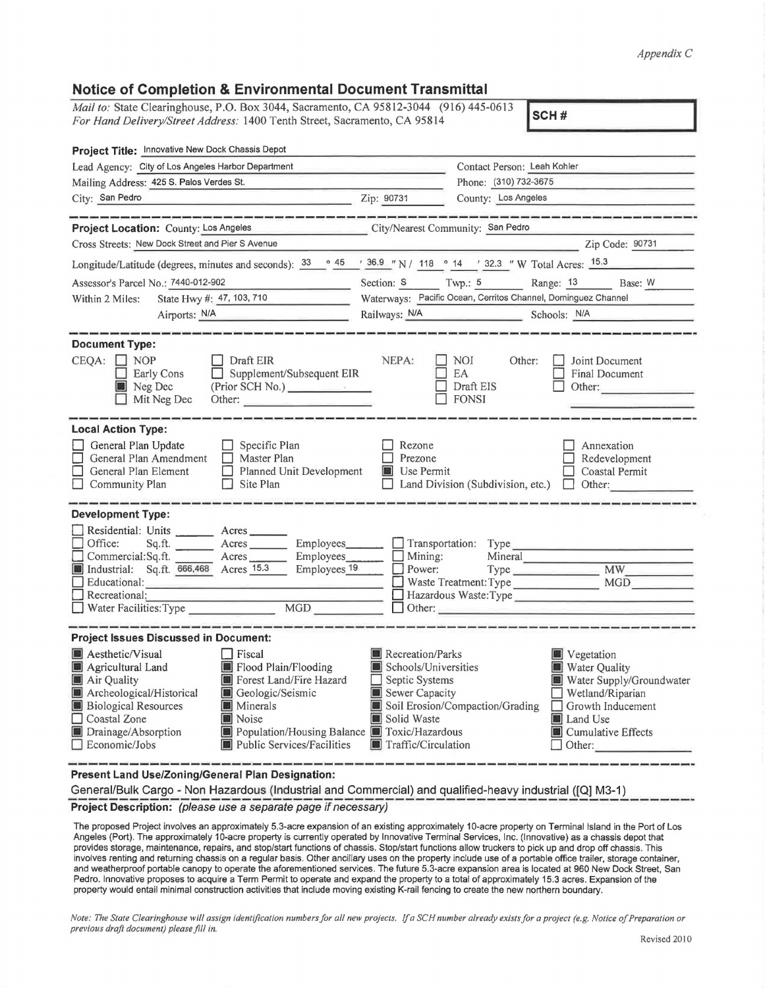## *Appendix C*

## **Notice of Completion** & **Environmental Document Transmittal**

| Mail to: State Clearinghouse, P.O. Box 3044, Sacramento, CA 95812-3044 (916) 445-0613<br>SCH#<br>For Hand Delivery/Street Address: 1400 Tenth Street, Sacramento, CA 95814                                                                                                                                                                                                                                                                                                                              |                                                                                                                    |                                                                                                                                                                                          |  |
|---------------------------------------------------------------------------------------------------------------------------------------------------------------------------------------------------------------------------------------------------------------------------------------------------------------------------------------------------------------------------------------------------------------------------------------------------------------------------------------------------------|--------------------------------------------------------------------------------------------------------------------|------------------------------------------------------------------------------------------------------------------------------------------------------------------------------------------|--|
| Project Title: Innovative New Dock Chassis Depot<br>Lead Agency: City of Los Angeles Harbor Department                                                                                                                                                                                                                                                                                                                                                                                                  |                                                                                                                    | Contact Person: Leah Kohler                                                                                                                                                              |  |
| Mailing Address: 425 S. Palos Verdes St.                                                                                                                                                                                                                                                                                                                                                                                                                                                                | Phone: (310) 732-3675                                                                                              |                                                                                                                                                                                          |  |
| City: San Pedro                                                                                                                                                                                                                                                                                                                                                                                                                                                                                         | Zip: 90731                                                                                                         | County: Los Angeles                                                                                                                                                                      |  |
|                                                                                                                                                                                                                                                                                                                                                                                                                                                                                                         |                                                                                                                    |                                                                                                                                                                                          |  |
| Project Location: County: Los Angeles                                                                                                                                                                                                                                                                                                                                                                                                                                                                   | City/Nearest Community: San Pedro                                                                                  |                                                                                                                                                                                          |  |
| Cross Streets: New Dock Street and Pier S Avenue                                                                                                                                                                                                                                                                                                                                                                                                                                                        |                                                                                                                    | Zip Code: 90731                                                                                                                                                                          |  |
| Longitude/Latitude (degrees, minutes and seconds): $\frac{33}{9}$ $\frac{45}{9}$ $\frac{1}{36.9}$ N / 118 $\degree$ 14 $\degree$ 32.3 " W Total Acres: $\frac{15.3}{9}$                                                                                                                                                                                                                                                                                                                                 |                                                                                                                    |                                                                                                                                                                                          |  |
| Assessor's Parcel No.: 7440-012-902                                                                                                                                                                                                                                                                                                                                                                                                                                                                     |                                                                                                                    | Section: S Twp.: 5 Range: 13<br>Base: W                                                                                                                                                  |  |
| State Hwy #: 47, 103, 710<br>Within 2 Miles:                                                                                                                                                                                                                                                                                                                                                                                                                                                            | Waterways: Pacific Ocean, Cerritos Channel, Dominguez Channel                                                      |                                                                                                                                                                                          |  |
| Airports: N/A                                                                                                                                                                                                                                                                                                                                                                                                                                                                                           | Railways: N/A                                                                                                      | Schools: N/A                                                                                                                                                                             |  |
|                                                                                                                                                                                                                                                                                                                                                                                                                                                                                                         |                                                                                                                    |                                                                                                                                                                                          |  |
| <b>Document Type:</b><br>$CEQA: \Box NP$<br>Draft EIR<br>Supplement/Subsequent EIR<br>Early Cons<br>Neg Dec<br>(Prior SCH No.)<br>Mit Neg Dec<br>Other:                                                                                                                                                                                                                                                                                                                                                 | NEPA:                                                                                                              | NOI<br>Other:<br>Joint Document<br>EA<br><b>Final Document</b><br>Draft EIS<br>Other:<br><b>FONSI</b>                                                                                    |  |
| <b>Local Action Type:</b><br>General Plan Update<br>$\Box$ Specific Plan<br>General Plan Amendment<br>п<br>Master Plan<br>General Plan Element<br>П<br>Planned Unit Development<br>Site Plan<br>$\Box$ Community Plan                                                                                                                                                                                                                                                                                   | Rezone<br>Prezone<br><b>Use Permit</b>                                                                             | Annexation<br>Redevelopment<br>Coastal Permit<br>Land Division (Subdivision, etc.)<br>Other:                                                                                             |  |
| <b>Development Type:</b><br>Residential: Units ________ Acres _____<br>Office:<br>Employees___<br>Sq.ft.<br>Acres<br>Commercial: Sq.ft.<br>Employees_<br>Acres<br>Industrial: Sq.ft. 666,468 Acres 15.3<br>Employees 19<br>Educational:<br>and the state of the control and the<br>Recreational:<br>MGD<br>$\Box$ Water Facilities: Type                                                                                                                                                                | Mining:<br>Power:                                                                                                  | Transportation: Type<br>Mineral<br>Hazardous Waste: Type<br>Other:                                                                                                                       |  |
| <b>Project Issues Discussed in Document:</b>                                                                                                                                                                                                                                                                                                                                                                                                                                                            |                                                                                                                    |                                                                                                                                                                                          |  |
| $\blacksquare$ Aesthetic/Visual $\blacksquare$ Fiscal<br>Agricultural Land<br>Flood Plain/Flooding<br>Forest Land/Fire Hazard<br>Air Quality<br>Archeological/Historical<br>Geologic/Seismic<br><b>Biological Resources</b><br><b>Minerals</b><br>Noise<br>Coastal Zone<br>Drainage/Absorption<br>Population/Housing Balance Toxic/Hazardous<br>Public Services/Facilities<br>Economic/Jobs<br>$\mathbf{H} = \mathbf{H} \mathbf{H}$ and $\mathbf{H} = \mathbf{H} \mathbf{H}$ are seed. Blood Bandarook, | Recreation/Parks<br>Schools/Universities<br>Septic Systems<br>Sewer Capacity<br>Solid Waste<br>Traffic/Circulation | Vegetation<br>Water Quality<br>Water Supply/Groundwater<br>Wetland/Riparian<br>Soil Erosion/Compaction/Grading<br>Growth Inducement<br>■ Land Use<br><b>Cumulative Effects</b><br>Other: |  |

**Present Land Use/Zoning/General Plan Designation:** 

General/Bulk Cargo - Non Hazardous (Industrial and Commercial) and qualified-heavy industrial ([Q] M3-1)<br>Project Description: (please use a separate page if necessary)

The proposed Project involves an approximately 5.3-acre expansion of an existing approximately 10-acre property on Terminal Island in the Port of Los Angeles (Port). The approximately 10-acre property is currently operated by Innovative Terminal Services, Inc. (Innovative) as a chassis depot that provides storage, maintenance, repairs, and stop/start functions of chassis. Stop/start functions allow truckers to pick up and drop off chassis. This involves renting and returning chassis on a regular basis. Other ancillary uses on the property include use of a portable office trailer, storage container, and weatherproof portable canopy to operate the aforementioned services. The future 5.3-acre expansion area is located at 960 New Dock Street, San Pedro. Innovative proposes to acquire a Term Permit to operate and expand the property to a total of approximately 15.3 acres. Expansion of the property would entail minimal construction activities that include moving existing K-rail fencing to create the new northern boundary.

*Note: The State Clearinghouse will assign identification numbers for all new projects. If a SCH number already exists for a project (e.g. Notice of Preparation or previous draft document) please fill in.*